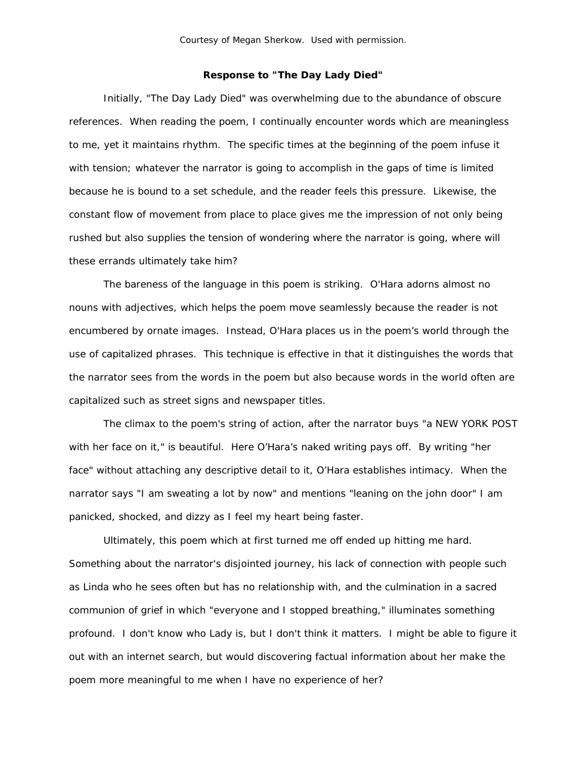## **Response to "The Day Lady Died"**

 Initially, "The Day Lady Died" was overwhelming due to the abundance of obscure references. When reading the poem, I continually encounter words which are meaningless to me, yet it maintains rhythm. The specific times at the beginning of the poem infuse it with tension; whatever the narrator is going to accomplish in the gaps of time is limited because he is bound to a set schedule, and the reader feels this pressure. Likewise, the constant flow of movement from place to place gives me the impression of not only being rushed but also supplies the tension of wondering where the narrator is going, where will these errands ultimately take him?

 The bareness of the language in this poem is striking. O'Hara adorns almost no nouns with adjectives, which helps the poem move seamlessly because the reader is not encumbered by ornate images. Instead, O'Hara places us in the poem's world through the use of capitalized phrases. This technique is effective in that it distinguishes the words that the narrator sees from the words in the poem but also because words in the world often are capitalized such as street signs and newspaper titles.

 The climax to the poem's string of action, after the narrator buys "a NEW YORK POST with her face on it," is beautiful. Here O'Hara's naked writing pays off. By writing "her face" without attaching any descriptive detail to it, O'Hara establishes intimacy. When the narrator says "I am sweating a lot by now" and mentions "leaning on the john door" I am panicked, shocked, and dizzy as I feel my heart being faster.

 Ultimately, this poem which at first turned me off ended up hitting me hard. Something about the narrator's disjointed journey, his lack of connection with people such as Linda who he sees often but has no relationship with, and the culmination in a sacred communion of grief in which "everyone and I stopped breathing," illuminates something profound. I don't know who Lady is, but I don't think it matters. I might be able to figure it out with an internet search, but would discovering factual information about her make the poem more meaningful to me when I have no experience of her?